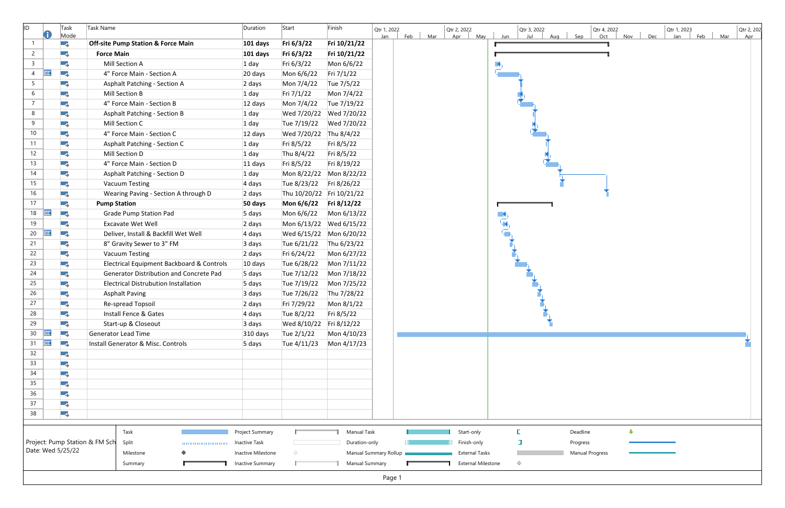| ID)                            |            | Task<br>Mode | Task Name                                     | Duration             | Start                   | Finish                    | Qtr 1, 2022<br>Mar<br>Feb<br>Jan | Qtr 2, 2022<br>May<br>Apr | Qtr 3, 2022<br>Jul<br>Jun<br>Aug | Qtr 4, 2022<br>Sep<br>Oct | Dec<br>Nov | Qtr 1, 2023<br>Feb<br>Jan | Qtr 2, 202<br>Mar<br>Apr |
|--------------------------------|------------|--------------|-----------------------------------------------|----------------------|-------------------------|---------------------------|----------------------------------|---------------------------|----------------------------------|---------------------------|------------|---------------------------|--------------------------|
| -1                             |            | -3           | <b>Off-site Pump Station &amp; Force Main</b> | 101 days             | Fri 6/3/22              | Fri 10/21/22              |                                  |                           |                                  |                           |            |                           |                          |
| $\overline{2}$                 |            | - 5          | <b>Force Main</b>                             | 101 days             | Fri 6/3/22              | Fri 10/21/22              |                                  |                           |                                  |                           |            |                           |                          |
| $\mathsf{3}$                   |            | -4           | Mill Section A                                | $1$ day              | Fri 6/3/22              | Mon 6/6/22                |                                  |                           |                                  |                           |            |                           |                          |
| 4                              | Ħ          | Тъ,          | 4" Force Main - Section A                     | 20 days              | Mon 6/6/22              | Fri 7/1/22                |                                  |                           |                                  |                           |            |                           |                          |
| 5                              |            | - 5          | <b>Asphalt Patching - Section A</b>           | 2 days               | Mon 7/4/22              | Tue 7/5/22                |                                  |                           |                                  |                           |            |                           |                          |
| 6                              |            | -3           | Mill Section B                                | $1$ day              | Fri 7/1/22              | Mon 7/4/22                |                                  |                           |                                  |                           |            |                           |                          |
| $\overline{7}$                 |            | - 5          | 4" Force Main - Section B                     | $12$ days            | Mon 7/4/22              | Tue 7/19/22               |                                  |                           |                                  |                           |            |                           |                          |
| 8                              |            | -4           | <b>Asphalt Patching - Section B</b>           | $1$ day              |                         | Wed 7/20/22 Wed 7/20/22   |                                  |                           |                                  |                           |            |                           |                          |
| 9                              |            | -3           | Mill Section C                                | $1$ day              | Tue 7/19/22             | Wed 7/20/22               |                                  |                           |                                  |                           |            |                           |                          |
| 10                             |            | -3           | 4" Force Main - Section C                     | 12 days              | Wed 7/20/22 Thu 8/4/22  |                           |                                  |                           |                                  |                           |            |                           |                          |
| 11                             |            | -3           | Asphalt Patching - Section C                  | $1$ day              | Fri 8/5/22              | Fri 8/5/22                |                                  |                           |                                  |                           |            |                           |                          |
| 12                             |            | -3           | Mill Section D                                | $1$ day              | Thu 8/4/22              | Fri 8/5/22                |                                  |                           |                                  |                           |            |                           |                          |
| 13                             |            | -3           | 4" Force Main - Section D                     | 11 days              | Fri 8/5/22              | Fri 8/19/22               |                                  |                           |                                  |                           |            |                           |                          |
| 14                             |            | - 5          | Asphalt Patching - Section D                  | $1$ day              |                         | Mon 8/22/22 Mon 8/22/22   |                                  |                           |                                  |                           |            |                           |                          |
| 15                             |            | - 5          | <b>Vacuum Testing</b>                         | 4 days               | Tue 8/23/22             | Fri 8/26/22               |                                  |                           |                                  |                           |            |                           |                          |
| 16                             |            | - 5          | Wearing Paving - Section A through D          | 2 days               |                         | Thu 10/20/22 Fri 10/21/22 |                                  |                           |                                  |                           |            |                           |                          |
| 17                             |            | - 5          | <b>Pump Station</b>                           | 50 days              | Mon 6/6/22              | Fri 8/12/22               |                                  |                           |                                  |                           |            |                           |                          |
| 18                             | Ħ          | - 5          | <b>Grade Pump Station Pad</b>                 | 5 days               | Mon 6/6/22              | Mon 6/13/22               |                                  |                           | $\blacksquare$                   |                           |            |                           |                          |
| 19                             |            | - 5          | <b>Excavate Wet Well</b>                      | 2 days               |                         | Mon 6/13/22 Wed 6/15/22   |                                  |                           |                                  |                           |            |                           |                          |
| 20                             | Ħ          | Ξ,           | Deliver, Install & Backfill Wet Well          | 4 days               |                         | Wed 6/15/22 Mon 6/20/22   |                                  |                           |                                  |                           |            |                           |                          |
| 21                             |            | -3           | 8" Gravity Sewer to 3" FM                     | 3 days               | Tue 6/21/22             | Thu 6/23/22               |                                  |                           |                                  |                           |            |                           |                          |
| 22                             |            | - 5          | <b>Vacuum Testing</b>                         | 2 days               | Fri 6/24/22             | Mon 6/27/22               |                                  |                           |                                  |                           |            |                           |                          |
| 23                             |            | -4           | Electrical Equipment Backboard & Controls     | 10 days              | Tue 6/28/22             | Mon 7/11/22               |                                  |                           |                                  |                           |            |                           |                          |
| 24                             |            | - 5          | Generator Distribution and Concrete Pad       | 5 days               | Tue 7/12/22             | Mon 7/18/22               |                                  |                           |                                  |                           |            |                           |                          |
| 25                             |            | -3           | <b>Electrical Distrubution Installation</b>   | 5 days               | Tue 7/19/22             | Mon 7/25/22               |                                  |                           |                                  |                           |            |                           |                          |
| 26                             |            | -3           | <b>Asphalt Paving</b>                         | 3 days               | Tue 7/26/22             | Thu 7/28/22               |                                  |                           |                                  |                           |            |                           |                          |
| 27                             |            | - 5          | Re-spread Topsoil                             | 2 days               | Fri 7/29/22             | Mon 8/1/22                |                                  |                           |                                  |                           |            |                           |                          |
| 28                             |            | -4           | Install Fence & Gates                         | 4 days               | Tue 8/2/22              | Fri 8/5/22                |                                  |                           |                                  |                           |            |                           |                          |
| 29                             |            | - 5          | Start-up & Closeout                           | 3 days               | Wed 8/10/22 Fri 8/12/22 |                           |                                  |                           |                                  |                           |            |                           |                          |
| 30 <sup>°</sup>                | <b>THE</b> | - 5          | <b>Generator Lead Time</b>                    | 310 days             | Tue 2/1/22              | Mon 4/10/23               |                                  |                           |                                  |                           |            |                           |                          |
| 31                             | <b>THE</b> | - 5          | Install Generator & Misc. Controls            | 5 days               | Tue 4/11/23             | Mon 4/17/23               |                                  |                           |                                  |                           |            |                           |                          |
| 32                             |            | - 5          |                                               |                      |                         |                           |                                  |                           |                                  |                           |            |                           |                          |
| 33                             |            | -4           |                                               |                      |                         |                           |                                  |                           |                                  |                           |            |                           |                          |
| 34                             |            | -4           |                                               |                      |                         |                           |                                  |                           |                                  |                           |            |                           |                          |
| 35<br>36                       |            | -3           |                                               |                      |                         |                           |                                  |                           |                                  |                           |            |                           |                          |
| 37                             |            | -4           |                                               |                      |                         |                           |                                  |                           |                                  |                           |            |                           |                          |
| 38                             |            | -3           |                                               |                      |                         |                           |                                  |                           |                                  |                           |            |                           |                          |
|                                |            | -4           |                                               |                      |                         |                           |                                  |                           |                                  |                           |            |                           |                          |
|                                |            |              | Task                                          | Project Summary      |                         | <b>Manual Task</b>        |                                  | Start-only                |                                  | Deadline                  | ⊕          |                           |                          |
| Project: Pump Station & FM Sch |            |              | Split                                         | <b>Inactive Task</b> |                         | Duration-only             |                                  | Finish-only               | J                                | Progress                  |            |                           |                          |
| Date: Wed 5/25/22              |            |              | Milestone                                     | Inactive Milestone   | $\Diamond$              |                           | Manual Summary Rollup            | <b>External Tasks</b>     |                                  | <b>Manual Progress</b>    |            |                           |                          |
|                                |            |              | Summary                                       | Inactive Summary     |                         | <b>Manual Summary</b>     |                                  | <b>External Milestone</b> | $\Diamond$                       |                           |            |                           |                          |
| Page 1                         |            |              |                                               |                      |                         |                           |                                  |                           |                                  |                           |            |                           |                          |

| Sep             | Qtr 4, 2022<br>Oct | Nov                     | Dec | Qtr 1, 2023<br><u>Jan</u> | Feb | Mar | Qtr 2, 202<br>Apr |
|-----------------|--------------------|-------------------------|-----|---------------------------|-----|-----|-------------------|
|                 | 1                  |                         |     |                           |     |     |                   |
|                 | 1                  |                         |     |                           |     |     |                   |
|                 |                    |                         |     |                           |     |     |                   |
|                 |                    |                         |     |                           |     |     |                   |
|                 |                    |                         |     |                           |     |     |                   |
|                 |                    |                         |     |                           |     |     |                   |
|                 |                    |                         |     |                           |     |     |                   |
|                 |                    |                         |     |                           |     |     |                   |
|                 |                    |                         |     |                           |     |     |                   |
|                 |                    |                         |     |                           |     |     |                   |
|                 |                    |                         |     |                           |     |     |                   |
|                 |                    |                         |     |                           |     |     |                   |
|                 |                    |                         |     |                           |     |     |                   |
|                 |                    |                         |     |                           |     |     |                   |
|                 |                    |                         |     |                           |     |     |                   |
|                 |                    |                         |     |                           |     |     |                   |
|                 |                    |                         |     |                           |     |     |                   |
|                 |                    |                         |     |                           |     |     |                   |
|                 |                    |                         |     |                           |     |     |                   |
|                 |                    |                         |     |                           |     |     |                   |
|                 |                    |                         |     |                           |     |     |                   |
|                 |                    |                         |     |                           |     |     |                   |
|                 |                    |                         |     |                           |     |     |                   |
|                 |                    |                         |     |                           |     |     |                   |
|                 |                    |                         |     |                           |     |     |                   |
|                 |                    |                         |     |                           |     |     |                   |
|                 |                    |                         |     |                           |     |     |                   |
| Deadline        |                    | $\overline{\mathbf{v}}$ |     |                           |     |     |                   |
| Progress        |                    |                         |     |                           |     |     |                   |
| Manual Progress |                    |                         |     |                           |     |     |                   |
|                 |                    |                         |     |                           |     |     |                   |
|                 |                    |                         |     |                           |     |     |                   |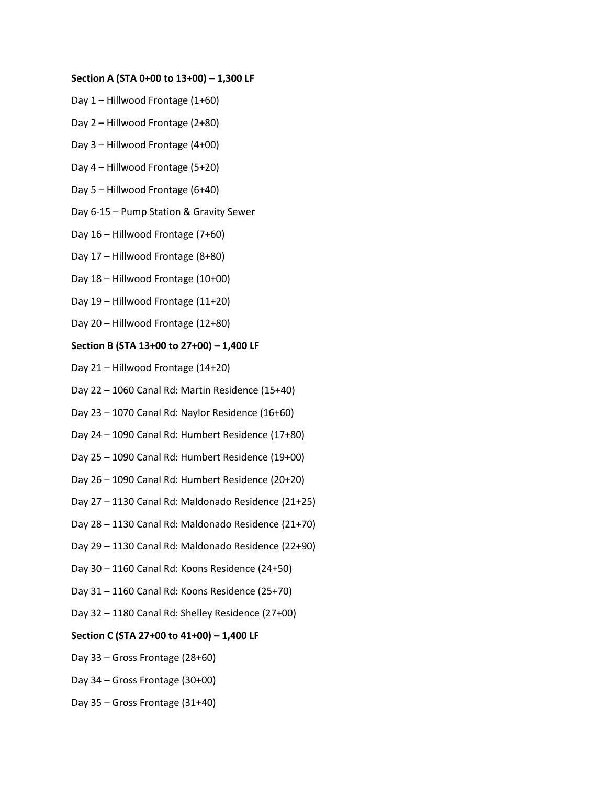## **Section A (STA 0+00 to 13+00) – 1,300 LF**

- Day 1 Hillwood Frontage (1+60)
- Day 2 Hillwood Frontage (2+80)
- Day 3 Hillwood Frontage (4+00)
- Day 4 Hillwood Frontage (5+20)
- Day 5 Hillwood Frontage (6+40)
- Day 6-15 Pump Station & Gravity Sewer
- Day 16 Hillwood Frontage (7+60)
- Day 17 Hillwood Frontage (8+80)
- Day 18 Hillwood Frontage (10+00)
- Day 19 Hillwood Frontage (11+20)
- Day 20 Hillwood Frontage (12+80)

## **Section B (STA 13+00 to 27+00) – 1,400 LF**

- Day 21 Hillwood Frontage (14+20)
- Day 22 1060 Canal Rd: Martin Residence (15+40)
- Day 23 1070 Canal Rd: Naylor Residence (16+60)
- Day 24 1090 Canal Rd: Humbert Residence (17+80)
- Day 25 1090 Canal Rd: Humbert Residence (19+00)
- Day 26 1090 Canal Rd: Humbert Residence (20+20)
- Day 27 1130 Canal Rd: Maldonado Residence (21+25)
- Day 28 1130 Canal Rd: Maldonado Residence (21+70)
- Day 29 1130 Canal Rd: Maldonado Residence (22+90)
- Day 30 1160 Canal Rd: Koons Residence (24+50)
- Day 31 1160 Canal Rd: Koons Residence (25+70)
- Day 32 1180 Canal Rd: Shelley Residence (27+00)

## **Section C (STA 27+00 to 41+00) – 1,400 LF**

- Day 33 Gross Frontage (28+60)
- Day 34 Gross Frontage (30+00)
- Day 35 Gross Frontage (31+40)